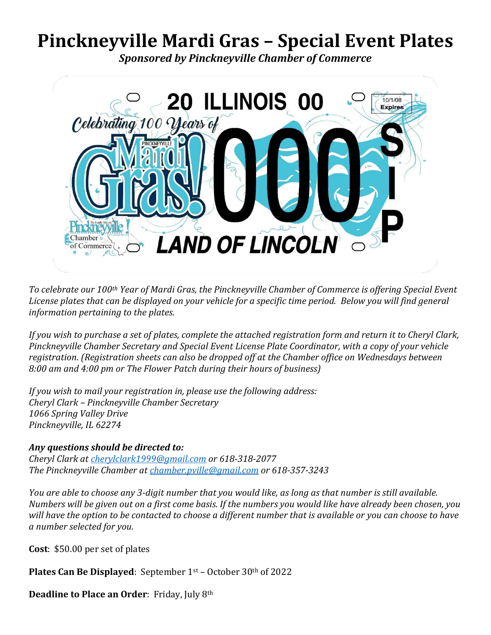## **Pinckneyville Mardi Gras – Special Event Plates**

*Sponsored by Pinckneyville Chamber of Commerce*



*To celebrate our 100th Year of Mardi Gras, the Pinckneyville Chamber of Commerce is offering Special Event License plates that can be displayed on your vehicle for a specific time period. Below you will find general information pertaining to the plates.* 

*If you wish to purchase a set of plates, complete the attached registration form and return it to Cheryl Clark, Pinckneyville Chamber Secretary and Special Event License Plate Coordinator, with a copy of your vehicle registration. (Registration sheets can also be dropped off at the Chamber office on Wednesdays between 8:00 am and 4:00 pm or The Flower Patch during their hours of business)* 

*If you wish to mail your registration in, please use the following address: Cheryl Clark – Pinckneyville Chamber Secretary 1066 Spring Valley Drive Pinckneyville, IL 62274*

## *Any questions should be directed to:*

*Cheryl Clark at [cherylclark1999@gmail.com](mailto:cherylclark1999@gmail.com) or 618-318-2077 The Pinckneyville Chamber a[t chamber.pville@gmail.com](mailto:chamber.pville@gmail.com) or 618-357-3243*

*You are able to choose any 3-digit number that you would like, as long as that number is still available. Numbers will be given out on a first come basis. If the numbers you would like have already been chosen, you will have the option to be contacted to choose a different number that is available or you can choose to have a number selected for you.* 

**Cost**: \$50.00 per set of plates

**Plates Can Be Displayed**: September 1st – October 30th of 2022

**Deadline to Place an Order**: Friday, July 8th